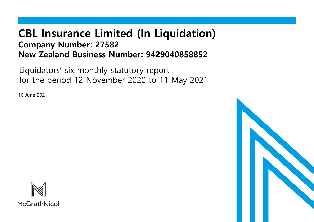# **CBL Insurance Limited (In Liquidation) Company Number: 27582 New Zealand Business Number: 9429040858852**

Liquidators' six monthly statutory report for the period 12 November 2020 to 11 May 2021

10 June 2021



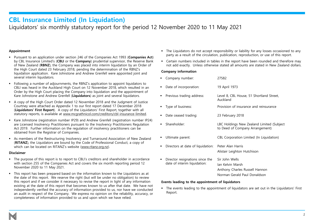### **CBL Insurance Limited (In Liquidation)**

### Liquidators' six monthly statutory report for the period 12 November 2020 to 11 May 2021

### **Appointment**

- Pursuant to an application under section 246 of the Companies Act 1993 (**Companies Act**) by CBL Insurance Limited's (**CBLI** or the **Company**) prudential supervisor, the Reserve Bank of New Zealand (**RBNZ**), the Company was placed into interim liquidation by an Order of the High Court dated 23 February 2018, pending the determination of the RBNZ's liquidation application. Kare Johnstone and Andrew Grenfell were appointed joint and several interim liquidators.
- Following a number of adjournments, the RBNZ's application to appoint liquidators to CBLI was heard in the Auckland High Court on 12 November 2018, which resulted in an Order by the High Court placing the Company into liquidation and the appointment of Kare Johnstone and Andrew Grenfell (**Liquidators**) as joint and several liquidators.
- A copy of the High Court Order dated 12 November 2018 and the Judgment of Justice Courtney were attached as Appendix 1 to our first report dated 17 December 2018 (**Liquidators' First Report**). A copy of the Liquidators' First Report, together with all statutory reports, is available at [www.mcgrathnicol.com/creditors/cbl-insurance-limited.](http://www.mcgrathnicol.com/creditors/cbl-insurance-limited)
- Kare Johnstone (registration number IP29) and Andrew Grenfell (registration number IP24) are Licensed Insolvency Practitioners pursuant to the Insolvency Practitioners Regulation Act 2019. Further information on the regulation of insolvency practitioners can be obtained from the Registrar of Companies.
- **■** As members of the Restructuring Insolvency and Turnaround Association of New Zealand (**RITANZ**), the Liquidators are bound by the Code of Professional Conduct, a copy of which can be located on RITANZ's website ([www.ritanz.org.nz\)](http://www.ritanz.org.nz/).

### **Disclaimer**

- The purpose of this report is to report to CBLI's creditors and shareholder in accordance with section 255 of the Companies Act and covers the six month reporting period 12 November 2020 to 11 May 2021.
- This report has been prepared based on the information known to the Liquidators as at the date of this report. We reserve the right (but will be under no obligation) to review this report and if we consider it necessary to revise the report in light of any information existing at the date of this report that becomes known to us after that date. We have not independently verified the accuracy of information provided to us, nor have we conducted an audit in respect of the Company. We express no opinion on the reliability, accuracy, or completeness of information provided to us and upon which we have relied.
- The Liquidators do not accept responsibility or liability for any losses occasioned to any party as a result of the circulation, publication, reproduction, or use of this report.
- **•** Certain numbers included in tables in the report have been rounded and therefore may not add exactly. Unless otherwise stated all amounts are stated in New Zealand dollars.

### **Company information**

| ٠ | Company number:                                                 | 27582                                                                                                |
|---|-----------------------------------------------------------------|------------------------------------------------------------------------------------------------------|
| ٠ | Date of incorporation:                                          | 19 April 1973                                                                                        |
| ٠ | Previous trading address:                                       | Level 8, CBL House, 51 Shortland Street,<br>Auckland                                                 |
| ٠ | Type of business:                                               | Provision of insurance and reinsurance                                                               |
| ٠ | Date ceased trading:                                            | 23 February 2018                                                                                     |
| ٠ | Shareholder:                                                    | LBC Holdings New Zealand Limited (Subject<br>to Deed of Company Arrangement)                         |
| ٠ | Ultimate parent:                                                | CBL Corporation Limited (In Liquidation)                                                             |
| ٠ | Directors at date of liquidation:                               | Peter Alan Harris<br>Alistair Leighton Hutchison                                                     |
| п | Director resignations since the<br>date of interim liquidation: | Sir John Wells<br>Jan Kelvin Marsh<br>Anthony Charles Russell Hannon<br>Norman Gerald Paul Donaldson |

### **Events leading to the appointment of liquidators**

▪ The events leading to the appointment of liquidators are set out in the Liquidators' First Report.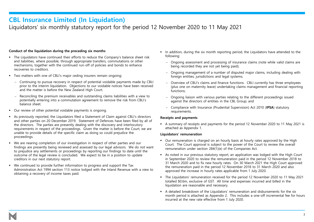### **CBL Insurance Limited (In Liquidation)**

### Liquidators' six monthly statutory report for the period 12 November 2020 to 11 May 2021

### **Conduct of the liquidation during the preceding six months**

- The Liquidators have continued their efforts to reduce the Company's balance sheet risk and liabilities, where possible, through appropriate transfers, commutations or other mechanisms, together with the continued run-off of policies and bonds to enhance recoveries to creditors.
- Two matters with one of CBLI's major ceding insurers remain ongoing:
	- − Continuing to pursue recovery in respect of potential voidable payments made by CBLI prior to the interim liquidation. Objections to our voidable notices have been received and the matter is before the New Zealand High Court.
	- − Reconciling the premium receivables and outstanding claims liabilities with a view to potentially entering into a commutation agreement to remove the risk from CBLI's balance sheet.
- Our review of other potential voidable payments is ongoing.
- As previously reported, the Liquidators filed a Statement of Claim against CBLI's directors and other parties on 20 December 2019. Statement of Defences have been filed by all of the directors. The parties are presently dealing with the discovery and interlocutory requirements in respect of the proceedings. Given the matter is before the Court, we are unable to provide details of the specific claim as doing so could prejudice the proceedings.
- We are nearing completion of our investigation in respect of other parties and our findings are presently being reviewed and assessed by our legal advisors. We do not want to prejudice any settlements or proceedings by reporting our findings to date until the outcome of the legal review is concluded. We expect to be in a position to update creditors in our next statutory report.
- We continued to provide further information to progress and support the Tax Administration Act 1994 section 113 notice lodged with the Inland Revenue with a view to obtaining a recovery of income taxes paid.
- In addition, during the six month reporting period, the Liquidators have attended to the following:
	- − Ongoing assessment and processing of insurance claims (note while valid claims are being recorded they are not yet being paid);
	- − Ongoing management of a number of disputed major claims, including dealing with foreign entities, jurisdictions and legal systems;
	- − Overview of CBLI's claims and finance functions. CBLI currently has three employees (plus one on maternity leave) undertaking claims management and financial reporting functions;
	- − Ongoing liaison with various parties relating to the different proceedings issued against the directors of entities in the CBL Group; and
	- − Compliance with Insurance (Prudential Supervision) Act 2010 (**IPSA**) statutory requirements.

### **Receipts and payments**

▪ A summary of receipts and payments for the period 12 November 2020 to 11 May 2021 is attached as Appendix 1.

#### **Liquidators' remuneration**

- Our remuneration is charged on an hourly basis at hourly rates approved by the High Court. The Court approval is subject to the power of the Court to review the overall remuneration under section 284(1)(e) of the Companies Act.
- As noted in our previous statutory report, an application was lodged with the High Court in September 2020 to review the remuneration paid in the period 12 November 2018 to 31 March 2020 and to fix new hourly rates. On 30 March 2021 the High Court approved the remuneration paid in the period 12 November 2018 to 31 March 2020 and also approved the increase in hourly rates applicable from 1 July 2020.
- The Liquidators' remuneration received for the period 12 November 2020 to 11 May 2021 totalled \$0.6m, exclusive of GST. All time and expenses incurred and billed in the liquidation are reasonable and necessary.
- A detailed breakdown of the Liquidators' remuneration and disbursements for the six month period is attached as Appendix 2. This includes a one-off incremental fee for hours incurred at the new rate effective from 1 July 2020.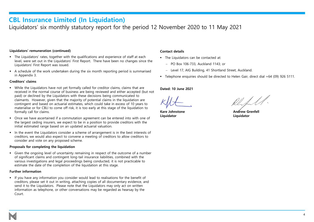### **CBL Insurance Limited (In Liquidation)**

Liquidators' six monthly statutory report for the period 12 November 2020 to 11 May 2021

### **Liquidators' remuneration (continued)**

- The Liquidators' rates, together with the qualifications and experience of staff at each level, were set out in the Liquidators' First Report. There have been no changes since the Liquidators' First Report was issued.
- A schedule of the work undertaken during the six month reporting period is summarised in Appendix 3.

### **Creditors' claims**

- While the Liquidators have not yet formally called for creditor claims, claims that are received in the normal course of business are being reviewed and either accepted (but not paid) or declined by the Liquidators with these decisions being communicated to claimants. However, given that the majority of potential claims in the liquidation are contingent and based on actuarial estimates, which could take in excess of 10 years to materialise or for CBLI to come off risk, it is too early at this stage of the liquidation to formally call for claims.
- Once we have ascertained if a commutation agreement can be entered into with one of the largest ceding insurers, we expect to be in a position to provide creditors with the initial estimated range based on an updated actuarial valuation.
- In the event the Liquidators consider a scheme of arrangement is in the best interests of creditors, we would also expect to convene a meeting of creditors to allow creditors to consider and vote on any proposed scheme.

#### **Proposals for completing the liquidation**

▪ Given the ongoing level of uncertainty remaining in respect of the outcome of a number of significant claims and contingent long-tail insurance liabilities, combined with the various investigations and legal proceedings being conducted, it is not practicable to estimate the date of the completion of the liquidation at this stage.

#### **Further information**

**■** If you have any information you consider would lead to realisations for the benefit of creditors, please set it out in writing, attaching copies of all documentary evidence, and send it to the Liquidators. Please note that the Liquidators may only act on written information as telephone, or other conversations may be regarded as hearsay by the Court.

### **Contact details**

- The Liquidators can be contacted at:
	- − PO Box 106-733, Auckland 1143; or
	- − Level 17, AIG Building, 41 Shortland Street, Auckland.
- Telephone enquiries should be directed to Helen Gair, direct dial +64 (09) 926 5111.

### **Dated: 10 June 2021**

**Liquidator Liquidator**

**Kare Johnstone Andrew Grenfell**

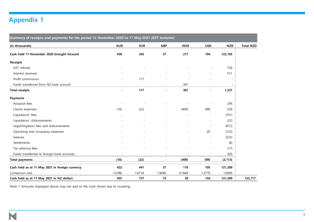## **Appendix 1**

| Summary of receipts and payments for the period 12 November 2020 to 11 May 2021 (GST inclusive) |                |            |                          |            |                          |            |                  |
|-------------------------------------------------------------------------------------------------|----------------|------------|--------------------------|------------|--------------------------|------------|------------------|
| (in thousands)                                                                                  | <b>AUD</b>     | <b>EUR</b> | <b>GBP</b>               | <b>NOK</b> | <b>USD</b>               | <b>NZD</b> | <b>Total NZD</b> |
| Cash held 11 November 2020 brought forward                                                      | 438            | 345        | 37                       | 217        | 194                      | 122,165    |                  |
| <b>Receipts</b>                                                                                 |                |            |                          |            |                          |            |                  |
| GST refunds                                                                                     |                |            |                          |            |                          | 726        |                  |
| Interest received                                                                               |                |            |                          |            | ÷.                       | 511        |                  |
| Profit commission                                                                               |                | 117        |                          |            |                          |            |                  |
| Funds transferred from NZ bank account                                                          |                |            | $\sim$                   | 301        |                          |            |                  |
| <b>Total receipts</b>                                                                           | $\blacksquare$ | 117        | $\overline{a}$           | 301        | $\overline{a}$           | 1,237      |                  |
| <b>Payments</b>                                                                                 |                |            |                          |            |                          |            |                  |
| Actuarial fees                                                                                  | $\sim$         |            |                          |            | $\overline{a}$           | (39)       |                  |
| Claims expenses                                                                                 | (16)           | (22)       | $\overline{\phantom{a}}$ | (400)      | (89)                     | (29)       |                  |
| Liquidators' fees                                                                               |                |            |                          |            | ÷,                       | (731)      |                  |
| Liquidators' disbursements                                                                      |                |            |                          |            | ÷                        | (22)       |                  |
| Legal/litigation fees and disbursements                                                         |                |            |                          |            |                          | (872)      |                  |
| Operating and occupancy expenses                                                                |                |            |                          |            | (0)                      | (122)      |                  |
| Salaries                                                                                        |                |            |                          |            | $\overline{\phantom{a}}$ | (225)      |                  |
| Settlements                                                                                     |                |            |                          |            |                          | (6)        |                  |
| Tax advisory fees                                                                               |                |            |                          |            | ÷                        | (17)       |                  |
| Funds transferred to foreign bank accounts                                                      |                |            | $\blacksquare$           |            |                          | (50)       |                  |
| <b>Total payments</b>                                                                           | (16)           | (22)       | $\overline{\phantom{a}}$ | (400)      | (89)                     | (2, 113)   |                  |
| Cash held as at 11 May 2021 in foreign currency                                                 | 422            | 441        | 37                       | 118        | 105                      | 121,289    |                  |
| Conversion rate                                                                                 | 1.0786         | 1.6714     | 1.9440                   | 0.1669     | 1.3770                   | 1.0000     |                  |
| Cash held as at 11 May 2021 in NZ dollars                                                       | 455            | 737        | 72                       | 20         | 144                      | 121,289    | 122,717          |

Note 1: Amounts displayed above may not add to the total shown due to rounding.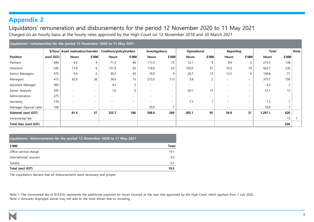### **Appendix 2**

Liquidators' remuneration and disbursements for the period 12 November 2020 to 11 May 2021 Charged on an hourly basis at the hourly rates approved by the High Court on 12 November 2018 and 30 March 2021

| Liquidators' remuneration for the period 12 November 2020 to 11 May 2021 |            |                          |                          |                          |                          |                          |                          |                          |                          |                          |                          |                          |                |             |
|--------------------------------------------------------------------------|------------|--------------------------|--------------------------|--------------------------|--------------------------|--------------------------|--------------------------|--------------------------|--------------------------|--------------------------|--------------------------|--------------------------|----------------|-------------|
| \$/hour Asset realisation/transfer                                       |            |                          |                          | Creditors/policyholders  |                          | Investigations           |                          | Operational              |                          | Reporting                |                          | <b>Total</b>             |                | <b>Note</b> |
| Position                                                                 | (excl GST) | <b>Hours</b>             | \$'000                   | <b>Hours</b>             | \$'000                   | <b>Hours</b>             | \$'000                   | <b>Hours</b>             | \$'000                   | <b>Hours</b>             | \$'000                   | <b>Hours</b>             | \$'000         |             |
| Partners                                                                 | 640        | 6.2                      | $\overline{4}$           | 71.3                     | 46                       | 117.3                    | 75                       | 12.1                     | 8                        | 8.4                      | 5                        | 215.3                    | 138            |             |
| <b>Directors</b>                                                         | 545        | 11.9                     | 6                        | 151.9                    | 83                       | 118.9                    | 65                       | 105.0                    | 57                       | 35.0                     | 19                       | 422.7                    | 230            |             |
| Senior Managers                                                          | 475        | 0.4                      | $\overline{0}$           | 90.3                     | 43                       | 18.9                     | 9                        | 26.7                     | 13                       | 13.5                     | 6                        | 149.8                    | 71             |             |
| Managers                                                                 | 415        | 62.9                     | 26                       | 36.9                     | 15                       | 272.0                    | 113                      | 3.9                      |                          |                          | $\sim$                   | 375.7                    | 156            |             |
| Assistant Manager                                                        | 365        | $\sim$                   |                          | 4.3                      | $\overline{2}$           | $\overline{\phantom{a}}$ | $\sim$                   | $\overline{\phantom{a}}$ | $\overline{\phantom{0}}$ |                          | $\sim$                   | 4.3                      | $\overline{c}$ |             |
| Senior Analysts                                                          | 295        | $\overline{\phantom{a}}$ | $\sim$                   | 1.0                      | $\mathbf 0$              | $\overline{\phantom{a}}$ | $\sim$                   | 50.1                     | 15                       | $\overline{\phantom{0}}$ | $\sim$                   | 51.1                     | 15             |             |
| Administrators                                                           | 275        | $\overline{\phantom{a}}$ | $\overline{\phantom{0}}$ | $\overline{\phantom{a}}$ | $\overline{\phantom{a}}$ |                          | $\sim$                   | ۰                        | $\overline{\phantom{a}}$ |                          | $\sim$                   | $\overline{\phantom{a}}$ |                |             |
| Secretary                                                                | 170        | $\overline{\phantom{0}}$ | $\sim$                   | ٠                        | $\overline{\phantom{a}}$ |                          | $\overline{\phantom{0}}$ | 7.3                      |                          |                          | $\sim$                   | 7.3                      |                |             |
| Manager (Special rate)                                                   | 100        | $\overline{\phantom{0}}$ | $\overline{\phantom{0}}$ | $\overline{\phantom{a}}$ | $\overline{\phantom{a}}$ | 70.9                     | $\overline{\phantom{0}}$ | ۰                        | ۰                        |                          | $\overline{\phantom{0}}$ | 70.9                     |                |             |
| Subtotal (excl GST)                                                      |            | 81.4                     | 37                       | 355.7                    | 188                      | 598.0                    | 269                      | 205.1                    | 95                       | 56.9                     | 31                       | 1,297.1                  | 620            |             |
| Incremental fee                                                          |            |                          |                          |                          |                          |                          |                          |                          |                          |                          |                          |                          | 15             |             |
| Total fees (excl GST)                                                    |            |                          |                          |                          |                          |                          |                          |                          |                          |                          |                          |                          | 636            |             |

| Liquidators' disbursements for the period 12 November 2020 to 11 May 2021 |              |  |  |  |
|---------------------------------------------------------------------------|--------------|--|--|--|
| \$'000                                                                    | <b>Total</b> |  |  |  |
| Office service charge                                                     | 19.1         |  |  |  |
| International couriers                                                    | 0.3          |  |  |  |
| Sundry                                                                    | 0.1          |  |  |  |
| Total (excl GST)                                                          |              |  |  |  |

The Liquidators declare that all disbursements were necessary and proper.

Note 1: The incremental fee of \$15,410, represents the additional payment for hours incurred at the new rate approved by the High Court, which applied from 1 July 2020. Note 2: Amounts displayed above may not add to the total shown due to rounding.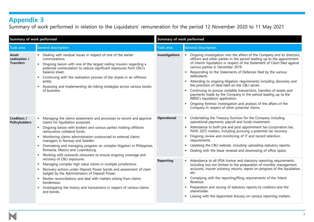### **Appendix 3**

Summary of work performed in relation to the Liquidators' remuneration for the period 12 November 2020 to 11 May 2021

| Summary of work performed                  |                                                                                                                                                                                                                                                                                                                                                                                                                                                                                                                                                                                                                                                                                                                                                                                                                     | Summary of work performed |                                                                                                                                                                                                                                                                                                                                                                                                                                                                                                                                                                                                                                                                                                                                                                                                                                                             |  |  |
|--------------------------------------------|---------------------------------------------------------------------------------------------------------------------------------------------------------------------------------------------------------------------------------------------------------------------------------------------------------------------------------------------------------------------------------------------------------------------------------------------------------------------------------------------------------------------------------------------------------------------------------------------------------------------------------------------------------------------------------------------------------------------------------------------------------------------------------------------------------------------|---------------------------|-------------------------------------------------------------------------------------------------------------------------------------------------------------------------------------------------------------------------------------------------------------------------------------------------------------------------------------------------------------------------------------------------------------------------------------------------------------------------------------------------------------------------------------------------------------------------------------------------------------------------------------------------------------------------------------------------------------------------------------------------------------------------------------------------------------------------------------------------------------|--|--|
| <b>Task area</b>                           | <b>General description</b>                                                                                                                                                                                                                                                                                                                                                                                                                                                                                                                                                                                                                                                                                                                                                                                          | <b>Task area</b>          | <b>General description</b>                                                                                                                                                                                                                                                                                                                                                                                                                                                                                                                                                                                                                                                                                                                                                                                                                                  |  |  |
| Asset<br>realisation /<br><b>Transfers</b> | Dealing with residual issues in respect of one of the earlier<br>commutations.<br>Ongoing liaison with one of the largest ceding insurers regarding a<br>potential commutation to reduce significant exposures from CBLI's<br>balance sheet.<br>Continuing with the realisation process of the shares in an offshore<br>entity.<br>Assessing and implementing de-risking strategies across various books<br>of business.                                                                                                                                                                                                                                                                                                                                                                                            | <b>Investigations</b>     | Ongoing investigation into the affairs of the Company and its directors,<br>officers and other parties in the period leading up to the appointment<br>of interim liquidators in respect of the Statement of Claim filed against<br>various parties in December 2019.<br>Responding to the Statements of Defences filed by the various<br>defendants.<br>• Attending to ongoing litigation requirements including discovery and<br>the provision of data held on the CBLI server.<br>• Continuing to pursue voidable transactions, transfers of assets and<br>payments made by the Company in the period leading up to the<br>RBNZ's liquidation application.<br>Ongoing forensic investigation and analysis of the affairs of the<br>Company in respect of other potential claims.                                                                          |  |  |
| Creditors /<br><b>Policyholders</b>        | Managing the claims assessment and processes to record and approve<br>claims for liquidation purposes.<br>• Ongoing liaison with brokers and various parties holding offshore<br>reinsurance collateral funds.<br>Monitoring claims administration outsourced to external claims<br>managers in Norway and Sweden.<br>Overseeing and managing progress on complex litigation in Philippines,<br>Romania, Mexico and Luxembourg.<br>Working with outwards reinsurers to ensure ongoing coverage and<br>recovery of CBLI exposures.<br>Managing complex high value claims in multiple jurisdictions.<br>Recovery actions under Deposit Power bonds and assessment of claim<br>lodged by the Administrators of Deposit Power.<br>Review reconciliations and deal with matters arising from claims<br>л.<br>bordereaux. | Operational<br>Reporting  | • Undertaking the Treasury function for the Company including<br>operational payments, payroll and funds investment.<br>Attendance to both pre and post appointment tax (corporation tax,<br>$\blacksquare$<br>PAYE, GST) matters, including pursuing a potential tax recovery.<br>Ongoing review and monitoring of IT and record retention<br>$\blacksquare$<br>requirements.<br>Updating the CBLI website, including uploading statutory reports.<br>$\blacksquare$<br>Dealing with the lease renewal and downsizing of office space.<br>Attendance to all IPSA licence and statutory reporting requirements,<br>including but not limited to the preparation of monthly management<br>accounts, insurer solvency returns, report on progress of the liquidation,<br>etc.<br>• Complying with the reporting/filing requirements of the Inland<br>Revenue. |  |  |
|                                            | Investigating the history and transactions in respect of various claims<br>and bonds.                                                                                                                                                                                                                                                                                                                                                                                                                                                                                                                                                                                                                                                                                                                               |                           | • Preparation and issuing of statutory reports to creditors and the<br>shareholder.<br>• Liaising with the Appointed Actuary on various reporting matters.                                                                                                                                                                                                                                                                                                                                                                                                                                                                                                                                                                                                                                                                                                  |  |  |